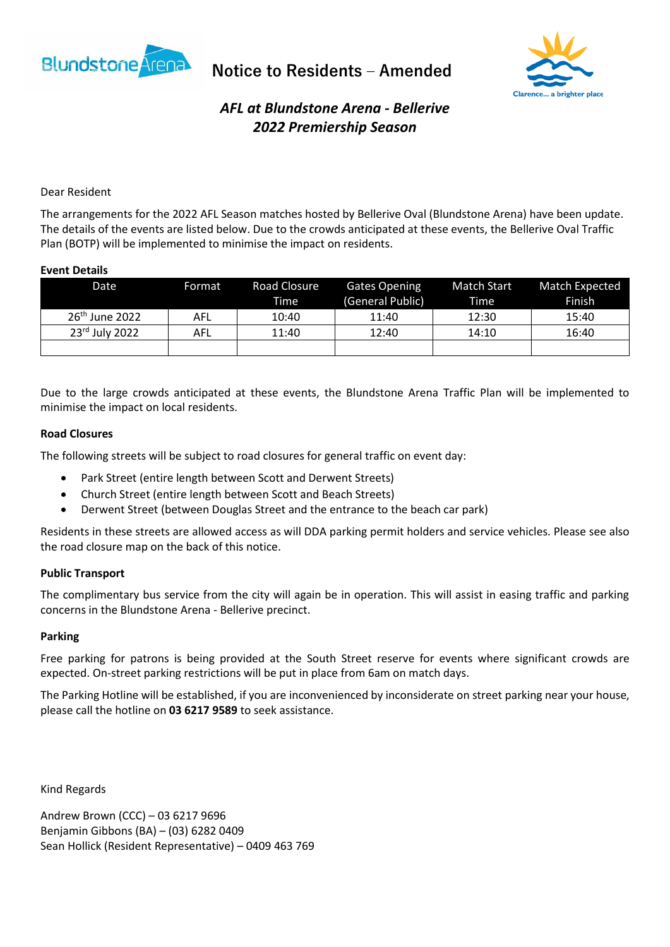

**Notice to Residents – Amended** 



# *AFL at Blundstone Arena - Bellerive 2022 Premiership Season*

## Dear Resident

The arrangements for the 2022 AFL Season matches hosted by Bellerive Oval (Blundstone Arena) have been update. The details of the events are listed below. Due to the crowds anticipated at these events, the Bellerive Oval Traffic Plan (BOTP) will be implemented to minimise the impact on residents.

### **Event Details**

| Date                       | Format     | Road Closure | <b>Gates Opening</b> | Match Start | Match Expected |
|----------------------------|------------|--------------|----------------------|-------------|----------------|
|                            |            | Time         | (General Public)     | Time        | Finish         |
| 26 <sup>th</sup> June 2022 | AFL        | 10:40        | 11:40                | 12:30       | 15:40          |
| $23rd$ July 2022           | <b>AFL</b> | 11:40        | 12:40                | 14:10       | 16:40          |
|                            |            |              |                      |             |                |

Due to the large crowds anticipated at these events, the Blundstone Arena Traffic Plan will be implemented to minimise the impact on local residents.

### **Road Closures**

The following streets will be subject to road closures for general traffic on event day:

- Park Street (entire length between Scott and Derwent Streets)
- Church Street (entire length between Scott and Beach Streets)
- Derwent Street (between Douglas Street and the entrance to the beach car park)

Residents in these streets are allowed access as will DDA parking permit holders and service vehicles. Please see also the road closure map on the back of this notice.

### **Public Transport**

The complimentary bus service from the city will again be in operation. This will assist in easing traffic and parking concerns in the Blundstone Arena - Bellerive precinct.

#### **Parking**

Free parking for patrons is being provided at the South Street reserve for events where significant crowds are expected. On-street parking restrictions will be put in place from 6am on match days.

The Parking Hotline will be established, if you are inconvenienced by inconsiderate on street parking near your house, please call the hotline on **03 6217 9589** to seek assistance.

Kind Regards

Andrew Brown (CCC) – 03 6217 9696 Benjamin Gibbons (BA) – (03) 6282 0409 Sean Hollick (Resident Representative) – 0409 463 769